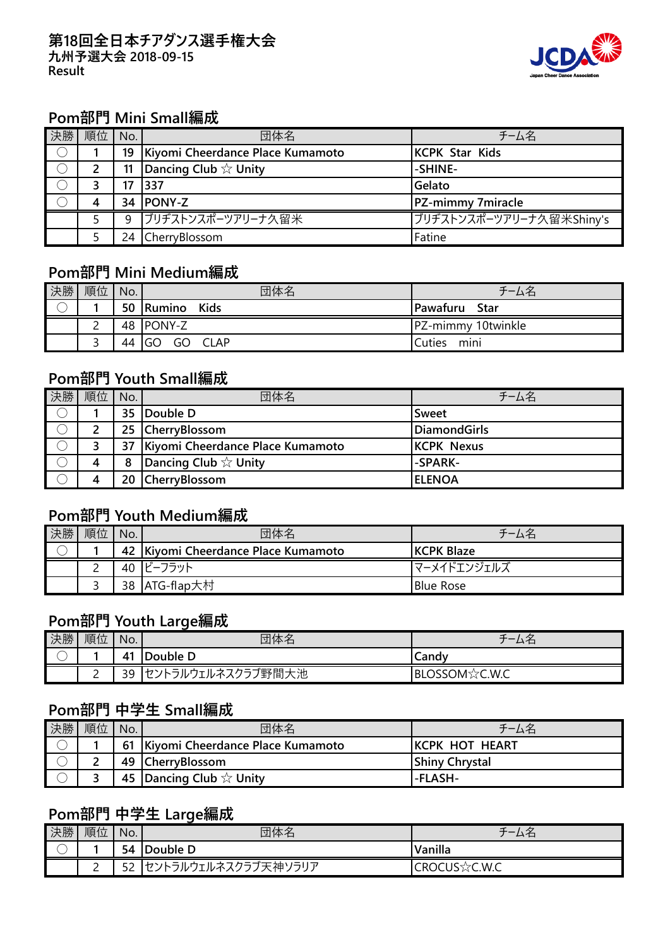#### **第18回全日本チアダンス選手権大会 九州予選大会 2018-09-15 Result**



### **Pom部門 Mini Small編成**

| 決勝 | 順位 | No. | 団体名                              | チーム名                     |
|----|----|-----|----------------------------------|--------------------------|
|    |    | 19  | Kiyomi Cheerdance Place Kumamoto | <b>KCPK Star Kids</b>    |
|    |    |     | Dancing Club $\&$ Unity          | -SHINE-                  |
|    |    |     | 1337                             | Gelato                   |
|    | 4  | 34  | <b>PONY-Z</b>                    | PZ-mimmy 7miracle        |
|    |    | 9   | 「ブリヂストンスポーツアリーナ久留米               | ブリヂストンスポーツアリーナ久留米Shiny's |
|    |    | 24  | CherryBlossom                    | Fatine                   |

#### **Pom部門 Mini Medium編成**

| 決勝 | 順位            | No. | 団体名                     | チーム名               |
|----|---------------|-----|-------------------------|--------------------|
|    |               |     | 50 Rumino Kids          | Pawafuru Star      |
|    | ⌒<br><u>.</u> |     | 48 PONY-Z               | PZ-mimmy 10twinkle |
|    |               | 44  | GO<br>GO<br><b>CLAP</b> | mini<br>Cuties     |

## **Pom部門 Youth Small編成**

| 決勝 | 順位 | No. | 団体名                              | チーム名              |
|----|----|-----|----------------------------------|-------------------|
|    |    |     | 35 Double D                      | <b>Sweet</b>      |
|    |    |     | 25 CherryBlossom                 | DiamondGirls      |
|    |    | 37  | Kiyomi Cheerdance Place Kumamoto | <b>KCPK Nexus</b> |
|    | 4  | 8   | Dancing Club $\&$ Unity          | -SPARK-           |
|    | 4  |     | 20 CherryBlossom                 | <b>ELENOA</b>     |

# **Pom部門 Youth Medium編成**

| 決勝 | 順位       | No. | 団体名                                 | チーム名               |
|----|----------|-----|-------------------------------------|--------------------|
|    |          |     | 42 Kiyomi Cheerdance Place Kumamoto | <b>IKCPK Blaze</b> |
|    | <u>.</u> |     | 40 ビーフラット                           | マーメイドエンジェルズ        |
|    |          |     | 38 ATG-flap大村                       | <b>Blue Rose</b>   |

### **Pom部門 Youth Large編成**

| 決勝                                      | 順位     | No. | 団体名                                            | ム仁            |
|-----------------------------------------|--------|-----|------------------------------------------------|---------------|
| $\overline{\phantom{1}}$<br>$\check{ }$ |        | 41  | Double D                                       | Candy         |
|                                         | ∽<br>- | 39  | 〈クラブ野間大池<br>うルウェルネス <sub>ン</sub><br>ヤント<br>- - | BLOSSOM☆C.W.C |

#### **Pom部門 中学生 Small編成**

| 決勝 | 順位 | No. | 団体名                                   | チーム名                   |
|----|----|-----|---------------------------------------|------------------------|
|    |    |     | 61   Kiyomi Cheerdance Place Kumamoto | <b>IKCPK HOT HEART</b> |
|    |    |     | 49 CherryBlossom                      | <b>Shiny Chrystal</b>  |
|    |    |     | 45 Dancing Club $\forall$ Unity       | -FLASH-                |

### **Pom部門 中学生 Large編成**

| 決勝                                   | 順位            | No.       | 団体名                          | $-$<br>ムロ          |
|--------------------------------------|---------------|-----------|------------------------------|--------------------|
| $\overline{\phantom{1}}$<br>$\smile$ |               | 54        | Double D                     | Vanilla            |
|                                      | ⌒<br><u>_</u> | r o<br>ےر | ラルウェルネスクラブ天神ソ<br>ノラリア<br>カント | CROCUS<br>র্িC.W.C |